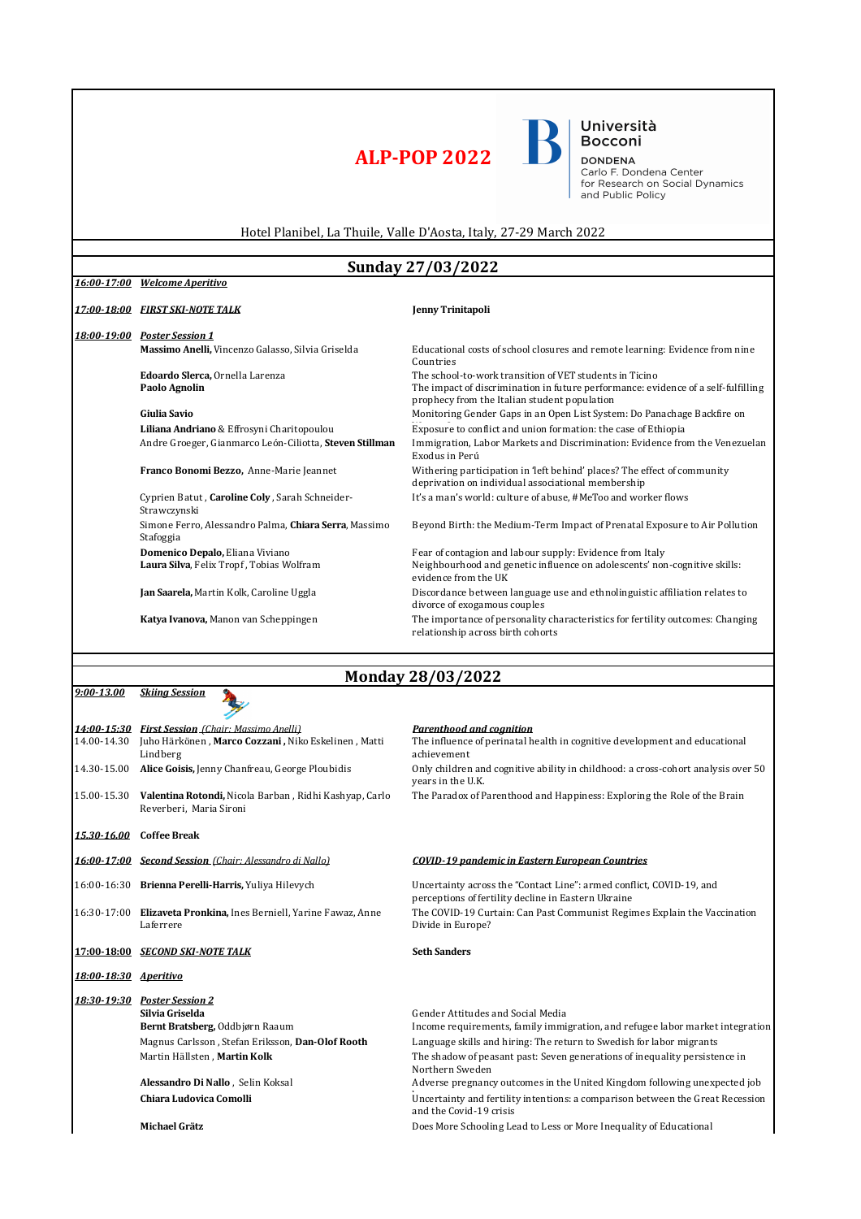## **ALP-POP 2022**

Università<br>Bocconi

**DONDENA**<br>Carlo F. Dondena Center<br>for Research on Social Dynamics<br>and Public Policy

Hotel Planibel, La Thuile, Valle D'Aosta, Italy, 27-29 March 2022

## **Sunday 27/03/2022**

| 17:00-18:00 FIRST SKI-NOTE TALK<br>18:00-19:00 Poster Session 1<br>Massimo Anelli, Vincenzo Galasso, Silvia Griselda | Jenny Trinitapoli                                                                                                                                                                            |  |
|----------------------------------------------------------------------------------------------------------------------|----------------------------------------------------------------------------------------------------------------------------------------------------------------------------------------------|--|
|                                                                                                                      |                                                                                                                                                                                              |  |
|                                                                                                                      |                                                                                                                                                                                              |  |
|                                                                                                                      | Educational costs of school closures and remote learning: Evidence from nine<br>Countries                                                                                                    |  |
| Edoardo Slerca, Ornella Larenza<br>Paolo Agnolin                                                                     | The school-to-work transition of VET students in Ticino<br>The impact of discrimination in future performance: evidence of a self-fulfilling<br>prophecy from the Italian student population |  |
| Giulia Savio                                                                                                         | Monitoring Gender Gaps in an Open List System: Do Panachage Backfire on                                                                                                                      |  |
| Liliana Andriano & Effrosyni Charitopoulou                                                                           | Exposure to conflict and union formation: the case of Ethiopia                                                                                                                               |  |
| Andre Groeger, Gianmarco León-Ciliotta, Steven Stillman                                                              | Immigration, Labor Markets and Discrimination: Evidence from the Venezuelan<br>Exodus in Perú                                                                                                |  |
| Franco Bonomi Bezzo, Anne-Marie Jeannet                                                                              | Withering participation in 'left behind' places? The effect of community<br>deprivation on individual associational membership                                                               |  |
| Cyprien Batut, Caroline Coly, Sarah Schneider-<br>Strawczynski                                                       | It's a man's world: culture of abuse, #MeToo and worker flows                                                                                                                                |  |
| Simone Ferro, Alessandro Palma, Chiara Serra, Massimo<br>Stafoggia                                                   | Beyond Birth: the Medium-Term Impact of Prenatal Exposure to Air Pollution                                                                                                                   |  |
| Domenico Depalo, Eliana Viviano                                                                                      | Fear of contagion and labour supply: Evidence from Italy                                                                                                                                     |  |
| Laura Silva, Felix Tropf, Tobias Wolfram                                                                             | Neighbourhood and genetic influence on adolescents' non-cognitive skills:<br>evidence from the UK                                                                                            |  |
| Jan Saarela, Martin Kolk, Caroline Uggla                                                                             | Discordance between language use and ethnolinguistic affiliation relates to<br>divorce of exogamous couples                                                                                  |  |
| Katya Ivanova, Manon van Scheppingen                                                                                 | The importance of personality characteristics for fertility outcomes: Changing<br>relationship across birth cohorts                                                                          |  |
|                                                                                                                      |                                                                                                                                                                                              |  |
| <b>Monday 28/03/2022</b>                                                                                             |                                                                                                                                                                                              |  |
| <b>Skiina Session</b><br>$9:00 - 13.00$                                                                              |                                                                                                                                                                                              |  |
|                                                                                                                      |                                                                                                                                                                                              |  |

|                       | 14:00-15:30 First Session (Chair: Massimo Anelli)                                 | Parenthood and coanition                                                                                                    |
|-----------------------|-----------------------------------------------------------------------------------|-----------------------------------------------------------------------------------------------------------------------------|
| 14.00-14.30           | Juho Härkönen, Marco Cozzani, Niko Eskelinen, Matti<br>Lindberg                   | The influence of perinatal health in cognitive development and educational<br>achievement                                   |
| 14.30-15.00           | Alice Goisis, Jenny Chanfreau, George Ploubidis                                   | Only children and cognitive ability in childhood: a cross-cohort analysis over 50<br>years in the U.K.                      |
| 15.00-15.30           | Valentina Rotondi, Nicola Barban, Ridhi Kashyap, Carlo<br>Reverberi. Maria Sironi | The Paradox of Parenthood and Happiness: Exploring the Role of the Brain                                                    |
| 15.30-16.00           | <b>Coffee Break</b>                                                               |                                                                                                                             |
|                       | 16:00-17:00 Second Session (Chair: Alessandro di Nallo)                           | <b>COVID-19 nandemic in Eastern Euronean Countries</b>                                                                      |
|                       | 16:00-16:30 Brienna Perelli-Harris, Yuliya Hilevych                               | Uncertainty across the "Contact Line": armed conflict, COVID-19, and<br>perceptions of fertility decline in Eastern Ukraine |
|                       | 16:30-17:00 Elizaveta Pronkina, Ines Berniell, Yarine Fawaz, Anne<br>Laferrere    | The COVID-19 Curtain: Can Past Communist Regimes Explain the Vaccination<br>Divide in Europe?                               |
| 17:00 18:00           | SECOND SKI-NOTE TALK                                                              | <b>Seth Sanders</b>                                                                                                         |
| 18:00-18:30 Aperitivo |                                                                                   |                                                                                                                             |
|                       | 18:30-19:30 Poster Session 2                                                      |                                                                                                                             |
|                       | Silvia Griselda                                                                   | Gender Attitudes and Social Media                                                                                           |
|                       | Bernt Bratsberg, Oddbjørn Raaum                                                   | Income requirements, family immigration, and refugee labor market integration                                               |
|                       | Magnus Carlsson, Stefan Eriksson, Dan-Olof Rooth                                  | Language skills and hiring: The return to Swedish for labor migrants                                                        |
|                       | Martin Hällsten, Martin Kolk                                                      | The shadow of peasant past: Seven generations of inequality persistence in<br>Northern Sweden                               |
|                       | Alessandro Di Nallo, Selin Koksal                                                 | Adverse pregnancy outcomes in the United Kingdom following unexpected job                                                   |
|                       | Chiara Ludovica Comolli                                                           | Uncertainty and fertility intentions: a comparison between the Great Recession<br>and the Covid-19 crisis                   |
|                       | Michael Grätz                                                                     | Does More Schooling Lead to Less or More Inequality of Educational                                                          |
|                       |                                                                                   |                                                                                                                             |